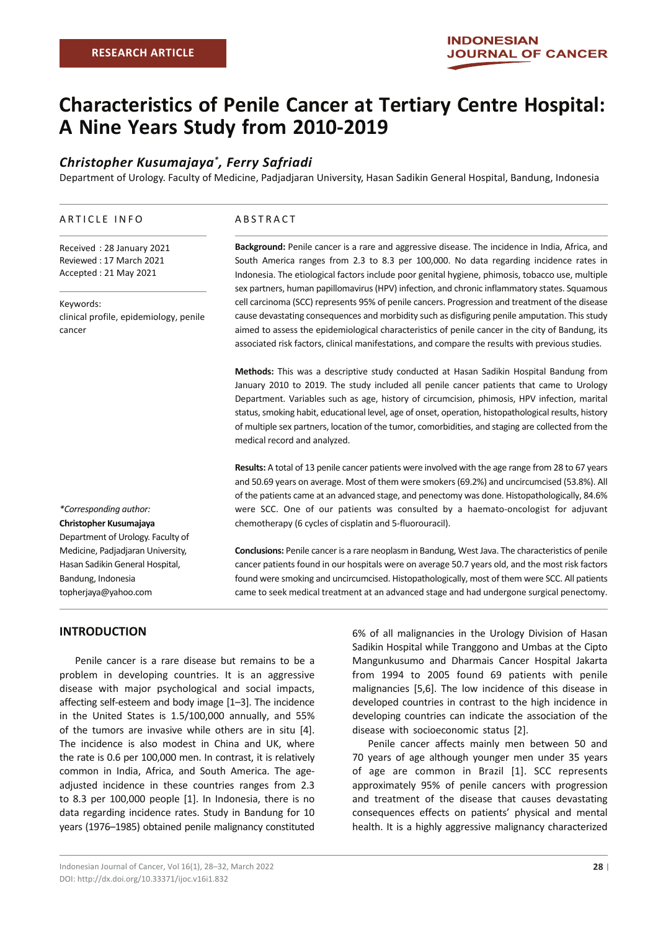# **Characteristics of Penile Cancer at Tertiary Centre Hospital: A Nine Years Study from 2010-2019**

## *Christopher Kusumajaya\* , Ferry Safriadi*

Department of Urology. Faculty of Medicine, Padjadjaran University, Hasan Sadikin General Hospital, Bandung, Indonesia

#### ARTICLE INFO

Received : 28 January 2021 Reviewed : 17 March 2021 Accepted : 21 May 2021

Keywords: clinical profile, epidemiology, penile cancer

*\*Corresponding author:* **Christopher Kusumajaya**  Department of Urology. Faculty of Medicine, Padjadjaran University, Hasan Sadikin General Hospital, Bandung, Indonesia topherjaya@yahoo.com

#### ABSTRACT

**Background:** Penile cancer is a rare and aggressive disease. The incidence in India, Africa, and South America ranges from 2.3 to 8.3 per 100,000. No data regarding incidence rates in Indonesia. The etiological factors include poor genital hygiene, phimosis, tobacco use, multiple sex partners, human papillomavirus (HPV) infection, and chronic inflammatory states. Squamous cell carcinoma (SCC) represents 95% of penile cancers. Progression and treatment of the disease cause devastating consequences and morbidity such as disfiguring penile amputation. This study aimed to assess the epidemiological characteristics of penile cancer in the city of Bandung, its associated risk factors, clinical manifestations, and compare the results with previous studies.

**Methods:** This was a descriptive study conducted at Hasan Sadikin Hospital Bandung from January 2010 to 2019. The study included all penile cancer patients that came to Urology Department. Variables such as age, history of circumcision, phimosis, HPV infection, marital status, smoking habit, educational level, age of onset, operation, histopathological results, history of multiple sex partners, location of the tumor, comorbidities, and staging are collected from the medical record and analyzed.

**Results:** A total of 13 penile cancer patients were involved with the age range from 28 to 67 years and 50.69 years on average. Most of them were smokers (69.2%) and uncircumcised (53.8%). All of the patients came at an advanced stage, and penectomy was done. Histopathologically, 84.6% were SCC. One of our patients was consulted by a haemato-oncologist for adjuvant chemotherapy (6 cycles of cisplatin and 5-fluorouracil).

**Conclusions:** Penile cancer is a rare neoplasm in Bandung, West Java. The characteristics of penile cancer patients found in our hospitals were on average 50.7 years old, and the most risk factors found were smoking and uncircumcised. Histopathologically, most of them were SCC. All patients came to seek medical treatment at an advanced stage and had undergone surgical penectomy.

## **INTRODUCTION**

Penile cancer is a rare disease but remains to be a problem in developing countries. It is an aggressive disease with major psychological and social impacts, affecting self-esteem and body image [1–3]. The incidence in the United States is 1.5/100,000 annually, and 55% of the tumors are invasive while others are in situ [4]. The incidence is also modest in China and UK, where the rate is 0.6 per 100,000 men. In contrast, it is relatively common in India, Africa, and South America. The ageadjusted incidence in these countries ranges from 2.3 to 8.3 per 100,000 people [1]. In Indonesia, there is no data regarding incidence rates. Study in Bandung for 10 years (1976–1985) obtained penile malignancy constituted

6% of all malignancies in the Urology Division of Hasan Sadikin Hospital while Tranggono and Umbas at the Cipto Mangunkusumo and Dharmais Cancer Hospital Jakarta from 1994 to 2005 found 69 patients with penile malignancies [5,6]. The low incidence of this disease in developed countries in contrast to the high incidence in developing countries can indicate the association of the disease with socioeconomic status [2].

Penile cancer affects mainly men between 50 and 70 years of age although younger men under 35 years of age are common in Brazil [1]. SCC represents approximately 95% of penile cancers with progression and treatment of the disease that causes devastating consequences effects on patients' physical and mental health. It is a highly aggressive malignancy characterized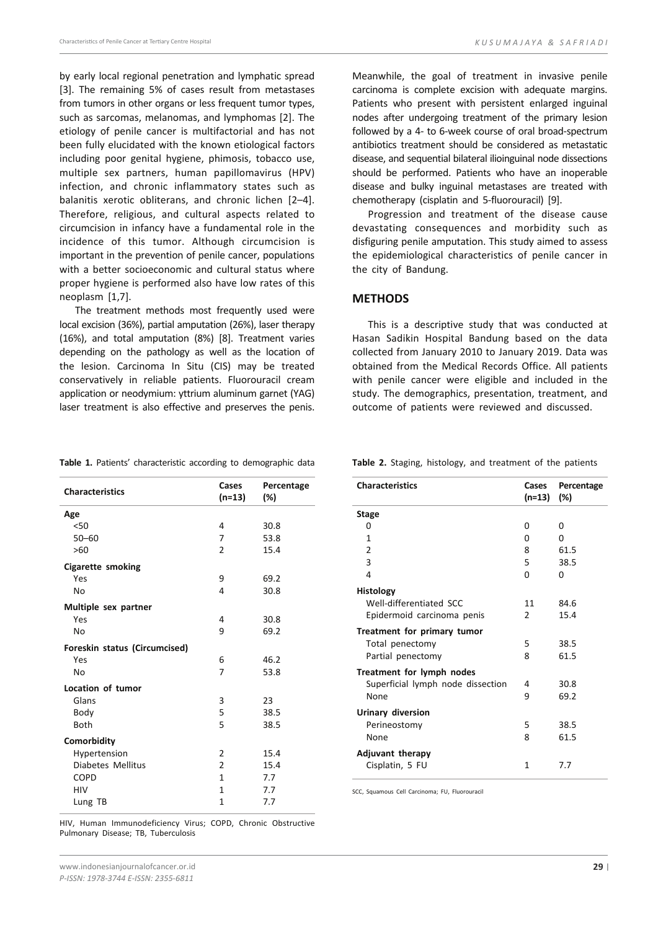by early local regional penetration and lymphatic spread [3]. The remaining 5% of cases result from metastases from tumors in other organs or less frequent tumor types, such as sarcomas, melanomas, and lymphomas [2]. The etiology of penile cancer is multifactorial and has not been fully elucidated with the known etiological factors including poor genital hygiene, phimosis, tobacco use, multiple sex partners, human papillomavirus (HPV) infection, and chronic inflammatory states such as balanitis xerotic obliterans, and chronic lichen [2–4]. Therefore, religious, and cultural aspects related to circumcision in infancy have a fundamental role in the incidence of this tumor. Although circumcision is important in the prevention of penile cancer, populations with a better socioeconomic and cultural status where proper hygiene is performed also have low rates of this neoplasm [1,7].

The treatment methods most frequently used were local excision (36%), partial amputation (26%), laser therapy (16%), and total amputation (8%) [8]. Treatment varies depending on the pathology as well as the location of the lesion. Carcinoma In Situ (CIS) may be treated conservatively in reliable patients. Fluorouracil cream application or neodymium: yttrium aluminum garnet (YAG) laser treatment is also effective and preserves the penis.

Meanwhile, the goal of treatment in invasive penile carcinoma is complete excision with adequate margins. Patients who present with persistent enlarged inguinal nodes after undergoing treatment of the primary lesion followed by a 4- to 6-week course of oral broad-spectrum antibiotics treatment should be considered as metastatic disease, and sequential bilateral ilioinguinal node dissections should be performed. Patients who have an inoperable disease and bulky inguinal metastases are treated with chemotherapy (cisplatin and 5-fluorouracil) [9].

Progression and treatment of the disease cause devastating consequences and morbidity such as disfiguring penile amputation. This study aimed to assess the epidemiological characteristics of penile cancer in the city of Bandung.

#### **methods**

This is a descriptive study that was conducted at Hasan Sadikin Hospital Bandung based on the data collected from January 2010 to January 2019. Data was obtained from the Medical Records Office. All patients with penile cancer were eligible and included in the study. The demographics, presentation, treatment, and outcome of patients were reviewed and discussed.

**Table 1.** Patients' characteristic according to demographic data

| <b>Characteristics</b>        | Cases<br>$(n=13)$ | Percentage<br>(%) |
|-------------------------------|-------------------|-------------------|
| Age                           |                   |                   |
| $50$                          | 4                 | 30.8              |
| $50 - 60$                     | 7                 | 53.8              |
| >60                           | $\overline{2}$    | 15.4              |
|                               |                   |                   |
| <b>Cigarette smoking</b>      |                   |                   |
| Yes                           | 9                 | 69.2              |
| No                            | 4                 | 30.8              |
| Multiple sex partner          |                   |                   |
| Yes                           | 4                 | 30.8              |
| No                            | 9                 | 69.2              |
| Foreskin status (Circumcised) |                   |                   |
| Yes                           | 6                 | 46.2              |
| No                            | 7                 | 53.8              |
| Location of tumor             |                   |                   |
| Glans                         | 3                 | 23                |
| Body                          | 5                 | 38.5              |
| Both                          | 5                 | 38.5              |
| Comorbidity                   |                   |                   |
| Hypertension                  | 2                 | 15.4              |
| Diabetes Mellitus             | $\overline{2}$    | 15.4              |
| <b>COPD</b>                   | $\mathbf{1}$      | 7.7               |
| HIV                           | $\mathbf{1}$      | 7.7               |
| Lung TB                       | 1                 | 7.7               |
|                               |                   |                   |

**Table 2.** Staging, histology, and treatment of the patients

| <b>Characteristics</b>            | Cases<br>(n=13) | Percentage<br>$(\%)$ |
|-----------------------------------|-----------------|----------------------|
| <b>Stage</b>                      |                 |                      |
| 0                                 | 0               | 0                    |
| 1                                 | O               | O                    |
| $\overline{2}$                    | 8               | 61.5                 |
| 3                                 | 5               | 38.5                 |
| 4                                 | O               | 0                    |
| <b>Histology</b>                  |                 |                      |
| Well-differentiated SCC           | 11              | 84.6                 |
| Epidermoid carcinoma penis        | $\mathcal{P}$   | 15.4                 |
| Treatment for primary tumor       |                 |                      |
| Total penectomy                   | 5               | 38.5                 |
| Partial penectomy                 | 8               | 61.5                 |
| Treatment for lymph nodes         |                 |                      |
| Superficial lymph node dissection | 4               | 30.8                 |
| None                              | 9               | 69.2                 |
| Urinary diversion                 |                 |                      |
| Perineostomy                      | 5               | 38.5                 |
| None                              | 8               | 61.5                 |
|                                   |                 |                      |
| <b>Adjuvant therapy</b>           | 1               | 7.7                  |
| Cisplatin, 5 FU                   |                 |                      |

SCC, Squamous Cell Carcinoma; FU, Fluorouracil

HIV, Human Immunodeficiency Virus; COPD, Chronic Obstructive Pulmonary Disease; TB, Tuberculosis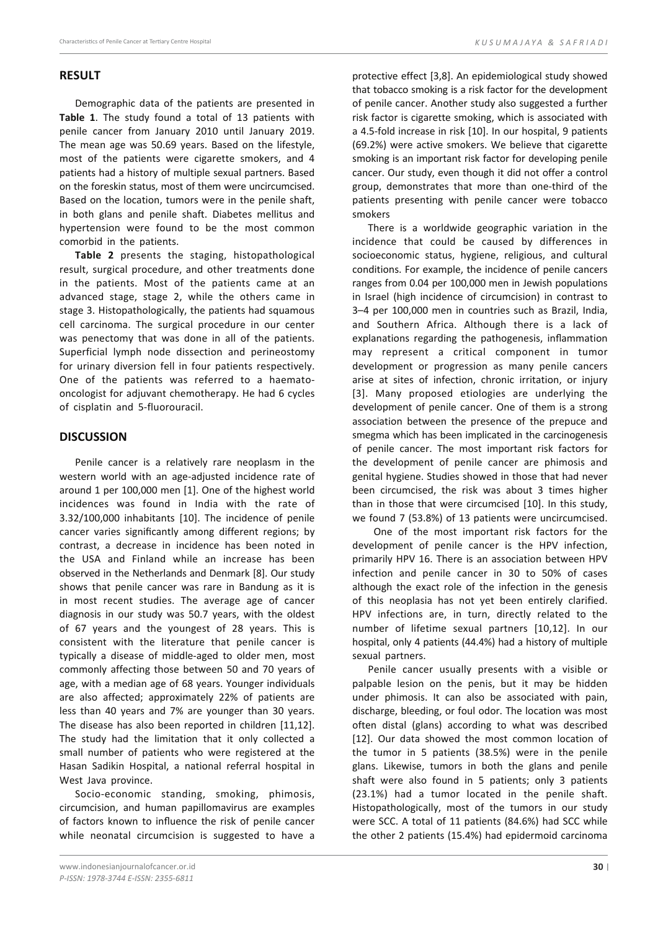## **result**

Demographic data of the patients are presented in **Table 1**. The study found a total of 13 patients with penile cancer from January 2010 until January 2019. The mean age was 50.69 years. Based on the lifestyle, most of the patients were cigarette smokers, and 4 patients had a history of multiple sexual partners. Based on the foreskin status, most of them were uncircumcised. Based on the location, tumors were in the penile shaft, in both glans and penile shaft. Diabetes mellitus and hypertension were found to be the most common comorbid in the patients.

**Table 2** presents the staging, histopathological result, surgical procedure, and other treatments done in the patients. Most of the patients came at an advanced stage, stage 2, while the others came in stage 3. Histopathologically, the patients had squamous cell carcinoma. The surgical procedure in our center was penectomy that was done in all of the patients. Superficial lymph node dissection and perineostomy for urinary diversion fell in four patients respectively. One of the patients was referred to a haematooncologist for adjuvant chemotherapy. He had 6 cycles of cisplatin and 5-fluorouracil.

## **DISCUSSION**

Penile cancer is a relatively rare neoplasm in the western world with an age-adjusted incidence rate of around 1 per 100,000 men [1]. One of the highest world incidences was found in India with the rate of 3.32/100,000 inhabitants [10]. The incidence of penile cancer varies significantly among different regions; by contrast, a decrease in incidence has been noted in the USA and Finland while an increase has been observed in the Netherlands and Denmark [8]. Our study shows that penile cancer was rare in Bandung as it is in most recent studies. The average age of cancer diagnosis in our study was 50.7 years, with the oldest of 67 years and the youngest of 28 years. This is consistent with the literature that penile cancer is typically a disease of middle-aged to older men, most commonly affecting those between 50 and 70 years of age, with a median age of 68 years. Younger individuals are also affected; approximately 22% of patients are less than 40 years and 7% are younger than 30 years. The disease has also been reported in children [11,12]. The study had the limitation that it only collected a small number of patients who were registered at the Hasan Sadikin Hospital, a national referral hospital in West Java province.

Socio-economic standing, smoking, phimosis, circumcision, and human papillomavirus are examples of factors known to influence the risk of penile cancer while neonatal circumcision is suggested to have a

protective effect [3,8]. An epidemiological study showed that tobacco smoking is a risk factor for the development of penile cancer. Another study also suggested a further risk factor is cigarette smoking, which is associated with a 4.5-fold increase in risk [10]. In our hospital, 9 patients (69.2%) were active smokers. We believe that cigarette smoking is an important risk factor for developing penile cancer. Our study, even though it did not offer a control group, demonstrates that more than one-third of the patients presenting with penile cancer were tobacco smokers

There is a worldwide geographic variation in the incidence that could be caused by differences in socioeconomic status, hygiene, religious, and cultural conditions. For example, the incidence of penile cancers ranges from 0.04 per 100,000 men in Jewish populations in Israel (high incidence of circumcision) in contrast to 3–4 per 100,000 men in countries such as Brazil, India, and Southern Africa. Although there is a lack of explanations regarding the pathogenesis, inflammation may represent a critical component in tumor development or progression as many penile cancers arise at sites of infection, chronic irritation, or injury [3]. Many proposed etiologies are underlying the development of penile cancer. One of them is a strong association between the presence of the prepuce and smegma which has been implicated in the carcinogenesis of penile cancer. The most important risk factors for the development of penile cancer are phimosis and genital hygiene. Studies showed in those that had never been circumcised, the risk was about 3 times higher than in those that were circumcised [10]. In this study, we found 7 (53.8%) of 13 patients were uncircumcised.

One of the most important risk factors for the development of penile cancer is the HPV infection, primarily HPV 16. There is an association between HPV infection and penile cancer in 30 to 50% of cases although the exact role of the infection in the genesis of this neoplasia has not yet been entirely clarified. HPV infections are, in turn, directly related to the number of lifetime sexual partners [10,12]. In our hospital, only 4 patients (44.4%) had a history of multiple sexual partners.

Penile cancer usually presents with a visible or palpable lesion on the penis, but it may be hidden under phimosis. It can also be associated with pain, discharge, bleeding, or foul odor. The location was most often distal (glans) according to what was described [12]. Our data showed the most common location of the tumor in 5 patients (38.5%) were in the penile glans. Likewise, tumors in both the glans and penile shaft were also found in 5 patients; only 3 patients (23.1%) had a tumor located in the penile shaft. Histopathologically, most of the tumors in our study were SCC. A total of 11 patients (84.6%) had SCC while the other 2 patients (15.4%) had epidermoid carcinoma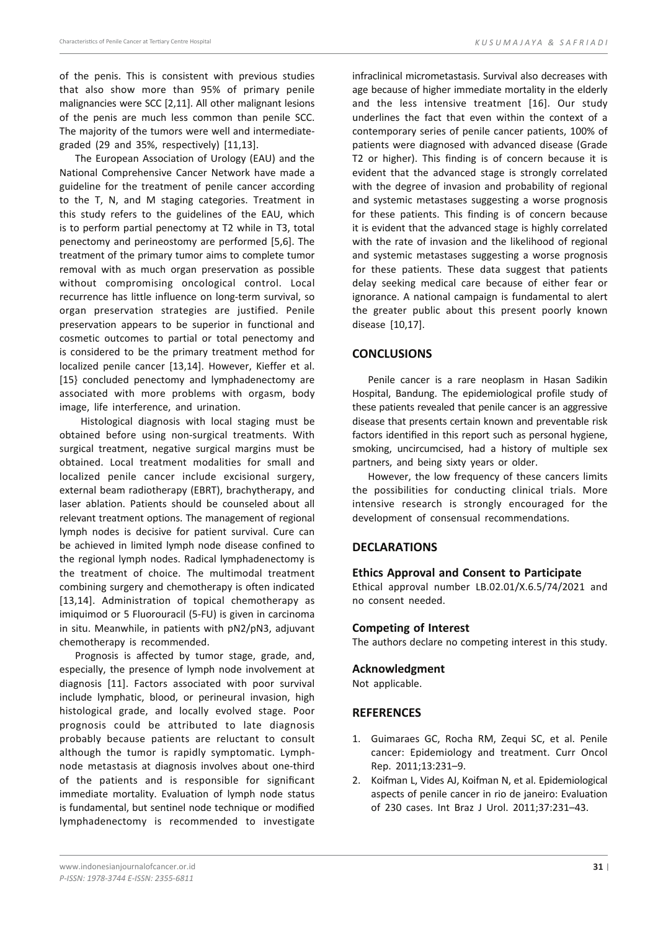of the penis. This is consistent with previous studies that also show more than 95% of primary penile malignancies were SCC [2,11]. All other malignant lesions of the penis are much less common than penile SCC. The majority of the tumors were well and intermediategraded (29 and 35%, respectively) [11,13].

The European Association of Urology (EAU) and the National Comprehensive Cancer Network have made a guideline for the treatment of penile cancer according to the T, N, and M staging categories. Treatment in this study refers to the guidelines of the EAU, which is to perform partial penectomy at T2 while in T3, total penectomy and perineostomy are performed [5,6]. The treatment of the primary tumor aims to complete tumor removal with as much organ preservation as possible without compromising oncological control. Local recurrence has little influence on long-term survival, so organ preservation strategies are justified. Penile preservation appears to be superior in functional and cosmetic outcomes to partial or total penectomy and is considered to be the primary treatment method for localized penile cancer [13,14]. However, Kieffer et al. [15} concluded penectomy and lymphadenectomy are associated with more problems with orgasm, body image, life interference, and urination.

 Histological diagnosis with local staging must be obtained before using non-surgical treatments. With surgical treatment, negative surgical margins must be obtained. Local treatment modalities for small and localized penile cancer include excisional surgery, external beam radiotherapy (EBRT), brachytherapy, and laser ablation. Patients should be counseled about all relevant treatment options. The management of regional lymph nodes is decisive for patient survival. Cure can be achieved in limited lymph node disease confined to the regional lymph nodes. Radical lymphadenectomy is the treatment of choice. The multimodal treatment combining surgery and chemotherapy is often indicated [13,14]. Administration of topical chemotherapy as imiquimod or 5 Fluorouracil (5-FU) is given in carcinoma in situ. Meanwhile, in patients with pN2/pN3, adjuvant chemotherapy is recommended.

Prognosis is affected by tumor stage, grade, and, especially, the presence of lymph node involvement at diagnosis [11]. Factors associated with poor survival include lymphatic, blood, or perineural invasion, high histological grade, and locally evolved stage. Poor prognosis could be attributed to late diagnosis probably because patients are reluctant to consult although the tumor is rapidly symptomatic. Lymphnode metastasis at diagnosis involves about one-third of the patients and is responsible for significant immediate mortality. Evaluation of lymph node status is fundamental, but sentinel node technique or modified lymphadenectomy is recommended to investigate

infraclinical micrometastasis. Survival also decreases with age because of higher immediate mortality in the elderly and the less intensive treatment [16]. Our study underlines the fact that even within the context of a contemporary series of penile cancer patients, 100% of patients were diagnosed with advanced disease (Grade T2 or higher). This finding is of concern because it is evident that the advanced stage is strongly correlated with the degree of invasion and probability of regional and systemic metastases suggesting a worse prognosis for these patients. This finding is of concern because it is evident that the advanced stage is highly correlated with the rate of invasion and the likelihood of regional and systemic metastases suggesting a worse prognosis for these patients. These data suggest that patients delay seeking medical care because of either fear or ignorance. A national campaign is fundamental to alert the greater public about this present poorly known disease [10,17].

#### **CONCLUSIONS**

Penile cancer is a rare neoplasm in Hasan Sadikin Hospital, Bandung. The epidemiological profile study of these patients revealed that penile cancer is an aggressive disease that presents certain known and preventable risk factors identified in this report such as personal hygiene, smoking, uncircumcised, had a history of multiple sex partners, and being sixty years or older.

However, the low frequency of these cancers limits the possibilities for conducting clinical trials. More intensive research is strongly encouraged for the development of consensual recommendations.

## **DECLARATIONS**

#### **Ethics Approval and Consent to Participate**

Ethical approval number LB.02.01/X.6.5/74/2021 and no consent needed.

#### **Competing of Interest**

The authors declare no competing interest in this study.

#### **Acknowledgment**

Not applicable.

#### **REFERENCES**

- 1. Guimaraes GC, Rocha RM, Zequi SC, et al. Penile cancer: Epidemiology and treatment. Curr Oncol Rep. 2011;13:231–9.
- 2. Koifman L, Vides AJ, Koifman N, et al. Epidemiological aspects of penile cancer in rio de janeiro: Evaluation of 230 cases. Int Braz J Urol. 2011;37:231–43.